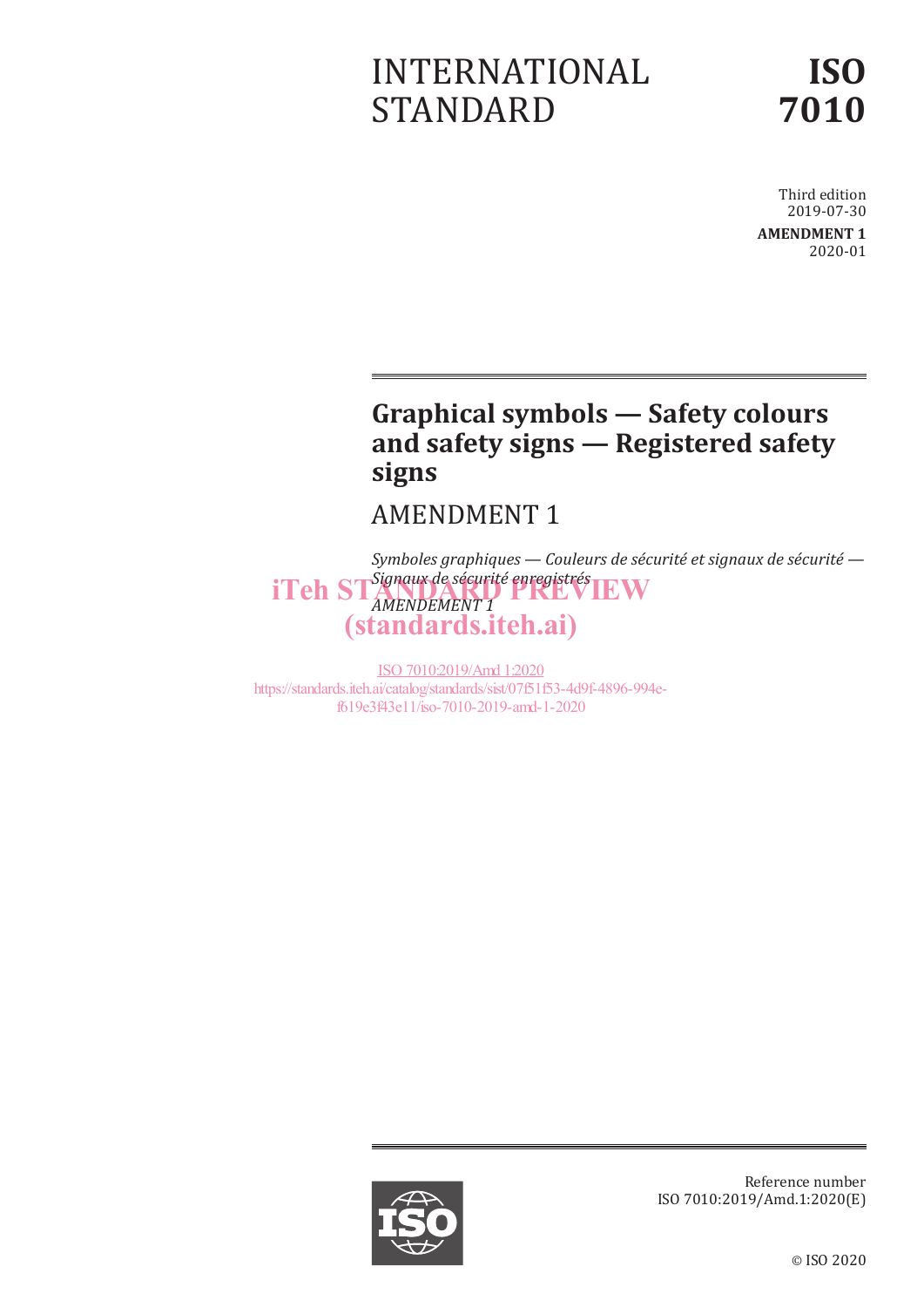# INTERNATIONAL STANDARD

Third edition 2019-07-30

**AMENDMENT 1** 2020-01

# **Graphical symbols — Safety colours and safety signs — Registered safety signs**

AMENDMENT 1

*Symboles graphiques — Couleurs de sécurité et signaux de sécurité iTeh ST<sup>Signaux</sup> de sécurité enregistrés*<br> *iTeh STAMENDEMENT1 AMENDEMENT 1* (standards.iteh.ai)

ISO 7010:2019/Amd 1:2020 https://standards.iteh.ai/catalog/standards/sist/07f51f53-4d9f-4896-994ef619e3f43e11/iso-7010-2019-amd-1-2020



Reference number ISO 7010:2019/Amd.1:2020(E)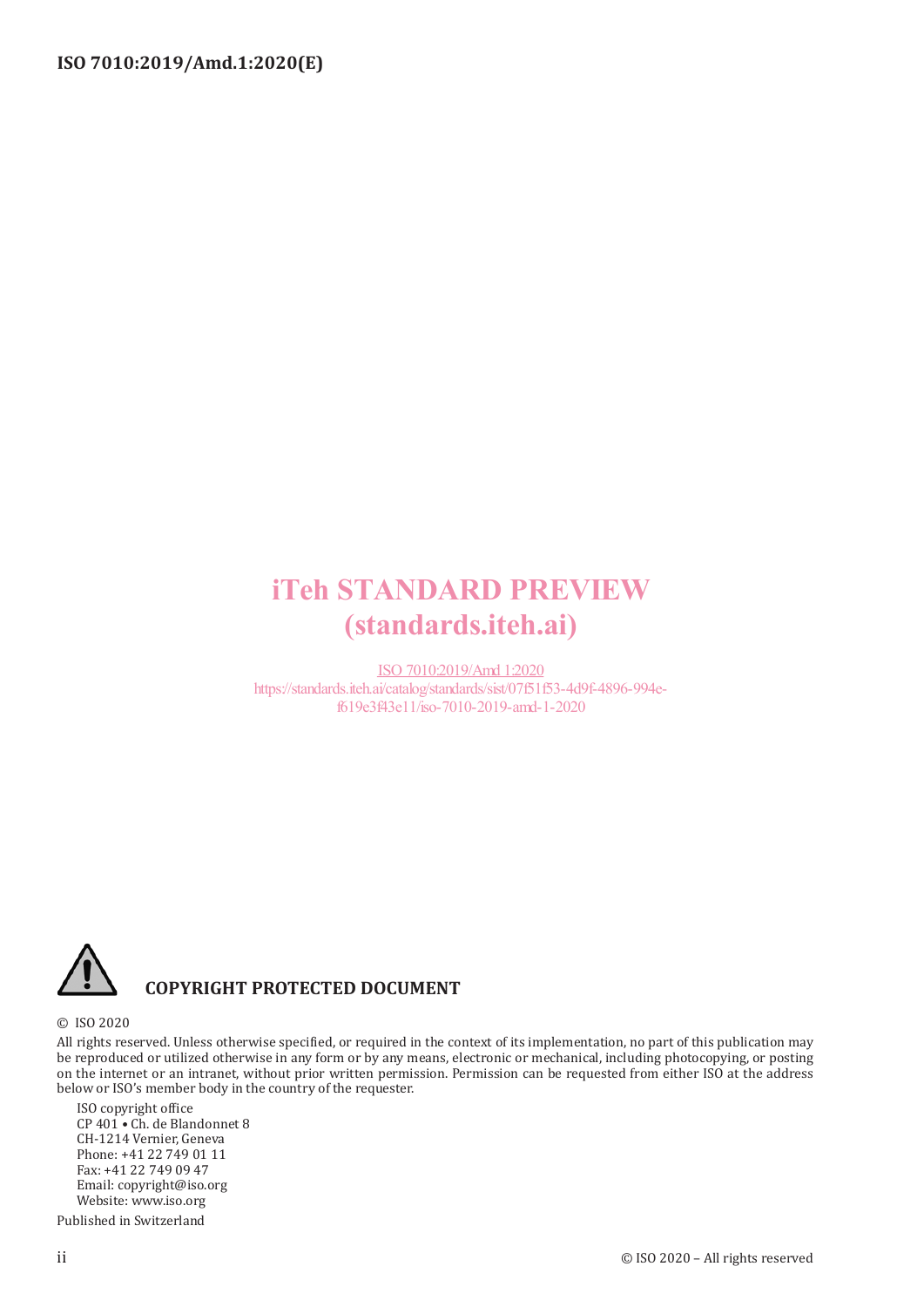# iTeh STANDARD PREVIEW (standards.iteh.ai)

ISO 7010:2019/Amd 1:2020 https://standards.iteh.ai/catalog/standards/sist/07f51f53-4d9f-4896-994ef619e3f43e11/iso-7010-2019-amd-1-2020



### **COPYRIGHT PROTECTED DOCUMENT**

#### © ISO 2020

All rights reserved. Unless otherwise specified, or required in the context of its implementation, no part of this publication may be reproduced or utilized otherwise in any form or by any means, electronic or mechanical, including photocopying, or posting on the internet or an intranet, without prior written permission. Permission can be requested from either ISO at the address below or ISO's member body in the country of the requester.

ISO copyright office CP 401 • Ch. de Blandonnet 8 CH-1214 Vernier, Geneva Phone: +41 22 749 01 11 Fax: +41 22 749 09 47 Email: copyright@iso.org Website: www.iso.org

Published in Switzerland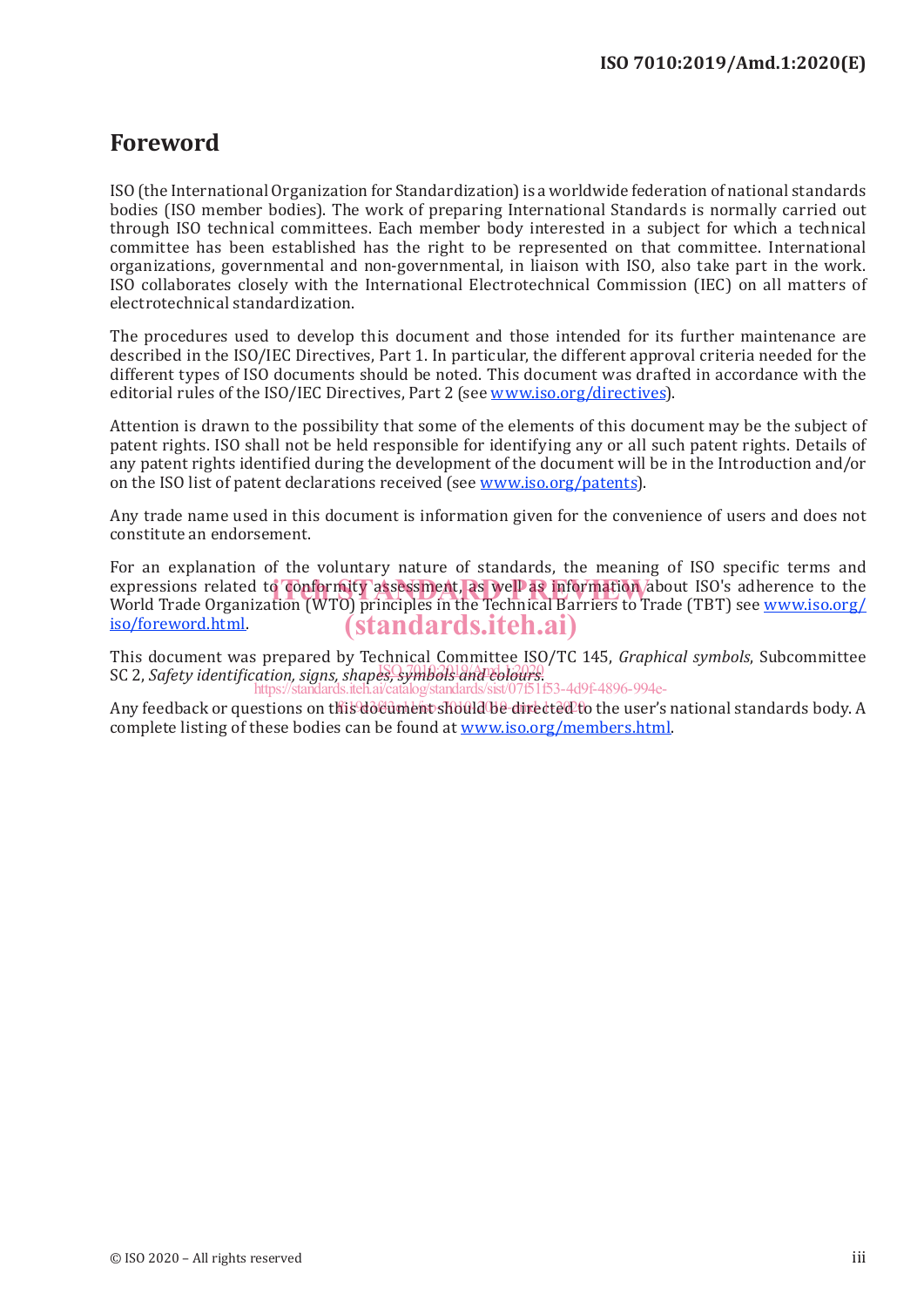### **Foreword**

ISO (the International Organization for Standardization) is a worldwide federation of national standards bodies (ISO member bodies). The work of preparing International Standards is normally carried out through ISO technical committees. Each member body interested in a subject for which a technical committee has been established has the right to be represented on that committee. International organizations, governmental and non-governmental, in liaison with ISO, also take part in the work. ISO collaborates closely with the International Electrotechnical Commission (IEC) on all matters of electrotechnical standardization.

The procedures used to develop this document and those intended for its further maintenance are described in the ISO/IEC Directives, Part 1. In particular, the different approval criteria needed for the different types of ISO documents should be noted. This document was drafted in accordance with the editorial rules of the ISO/IEC Directives, Part 2 (see www.iso.org/directives).

Attention is drawn to the possibility that some of the elements of this document may be the subject of patent rights. ISO shall not be held responsible for identifying any or all such patent rights. Details of any patent rights identified during the development of the document will be in the Introduction and/or on the ISO list of patent declarations received (see www.iso.org/patents).

Any trade name used in this document is information given for the convenience of users and does not constitute an endorsement.

For an explanation of the voluntary nature of standards, the meaning of ISO specific terms and expressions related to conformity assessment, as well as information about ISO's adherence to the expressions or  $\ell$ World Trade Organization (WTO) principles in the Technical Barriers to Trade (TBT) see www.iso.org/ iso/foreword.html. (standards.iteh.ai)

This document was prepared by Technical Committee ISO/TC 145, *Graphical symbols*, Subcommittee SC 2, *Safety identification, signs, shapes, symbols and colours*. https://standards.iteh.ai/catalog/standards/sist/07f51f53-4d9f-4896-994e-

Any feedback or questions on this document should be directed to the user's national standards body. A complete listing of these bodies can be found at www.iso.org/members.html.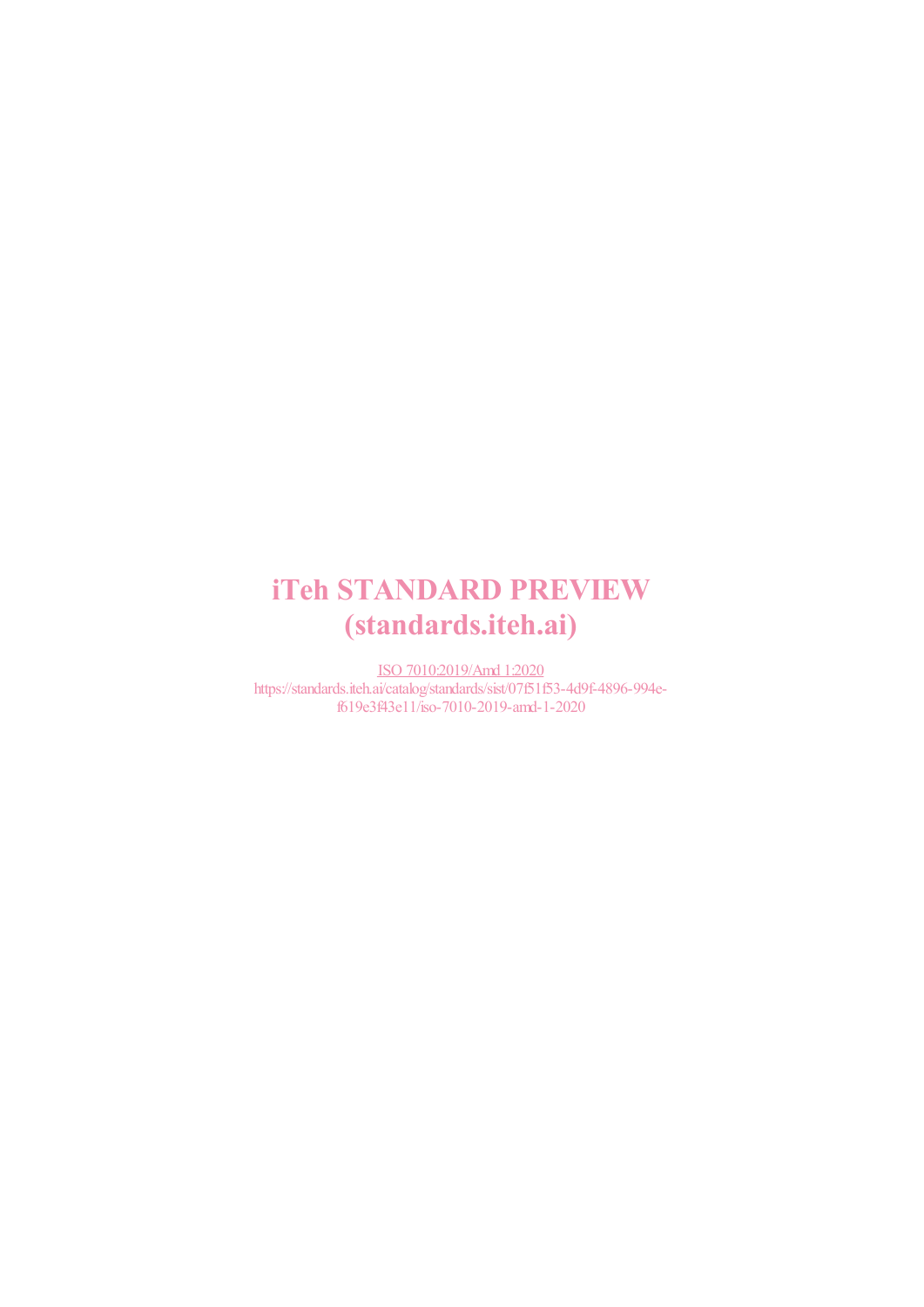# iTeh STANDARD PREVIEW (standards.iteh.ai)

ISO 7010:2019/Amd 1:2020 https://standards.iteh.ai/catalog/standards/sist/07f51f53-4d9f-4896-994ef619e3f43e11/iso-7010-2019-amd-1-2020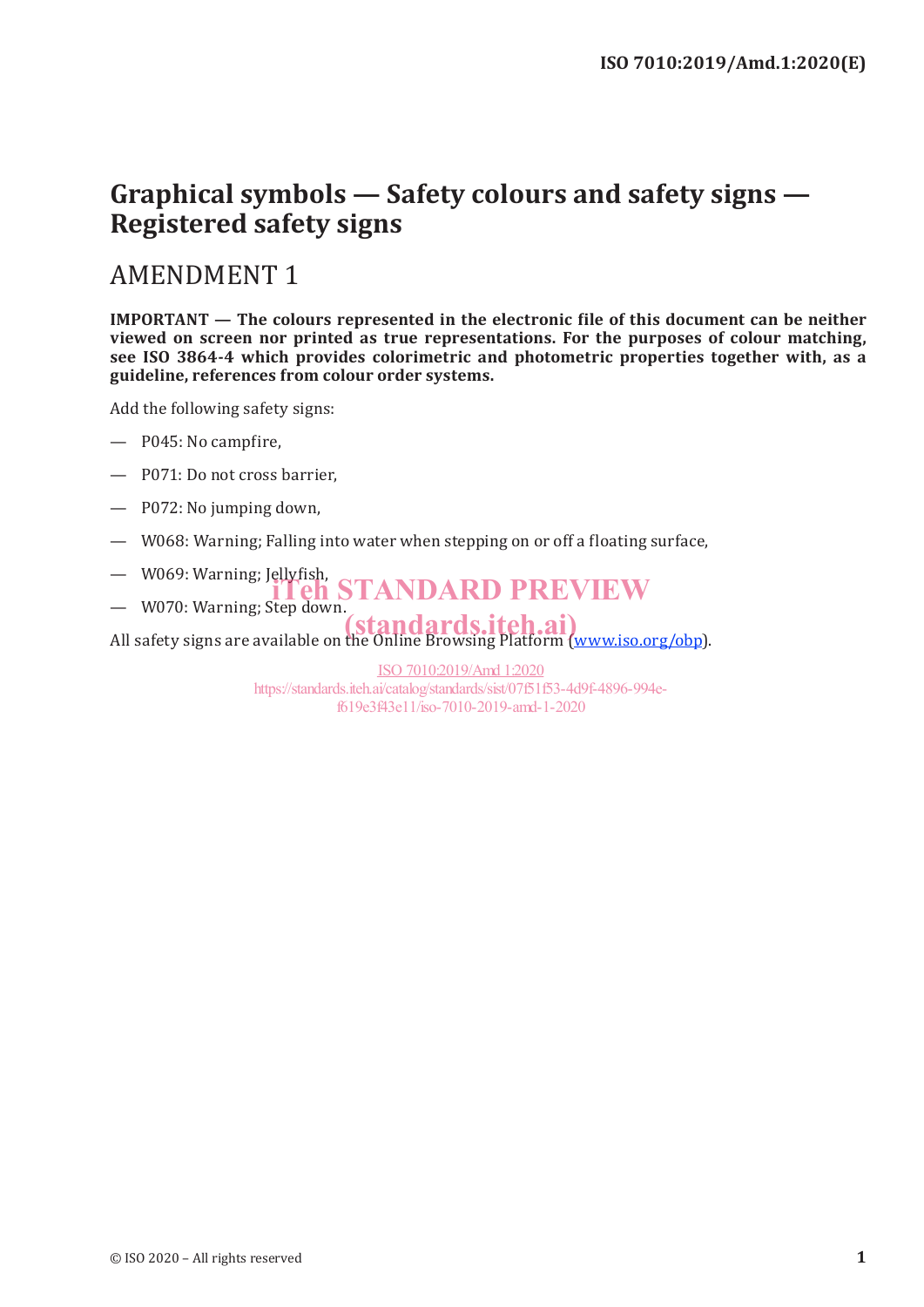# **Graphical symbols — Safety colours and safety signs — Registered safety signs**

# AMENDMENT 1

**IMPORTANT — The colours represented in the electronic file of this document can be neither viewed on screen nor printed as true representations. For the purposes of colour matching, see ISO 3864-4 which provides colorimetric and photometric properties together with, as a guideline, references from colour order systems.**

Add the following safety signs:

- P045: No campfire,
- P071: Do not cross barrier,
- P072: No jumping down,
- W068: Warning; Falling into water when stepping on or off a floating surface,
- W069: Warning; Jellyfish,
- W070: Warning; Step down. **STANDARD PREVIEW**
- matrix and the Online Browsing Platform (www.iso.org/obp).<br>All safety signs are available on the Online Browsing Platform (www.iso.org/obp).

ISO 7010:2019/Amd 1:2020 https://standards.iteh.ai/catalog/standards/sist/07f51f53-4d9f-4896-994ef619e3f43e11/iso-7010-2019-amd-1-2020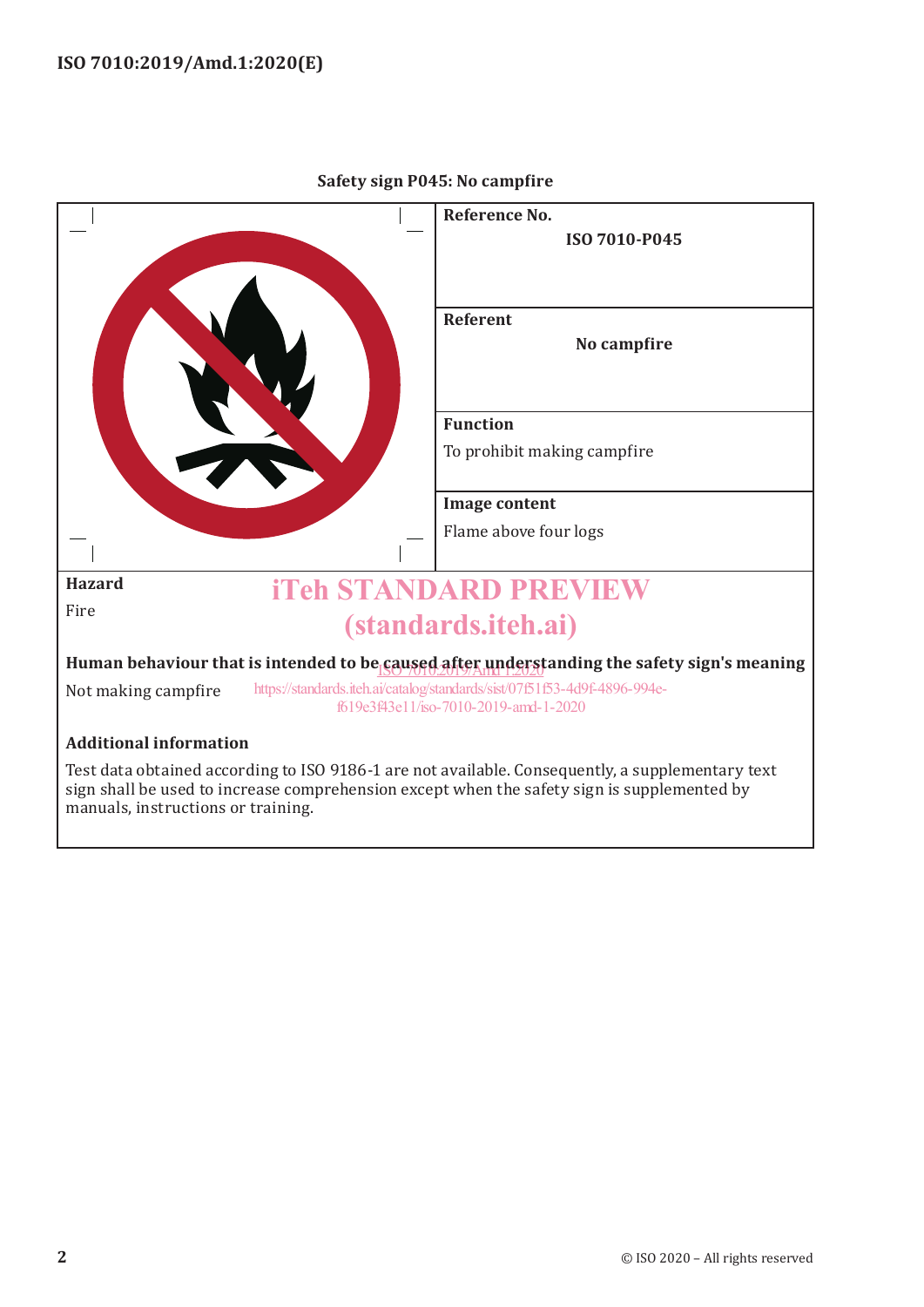

#### **Safety sign P045: No campfire**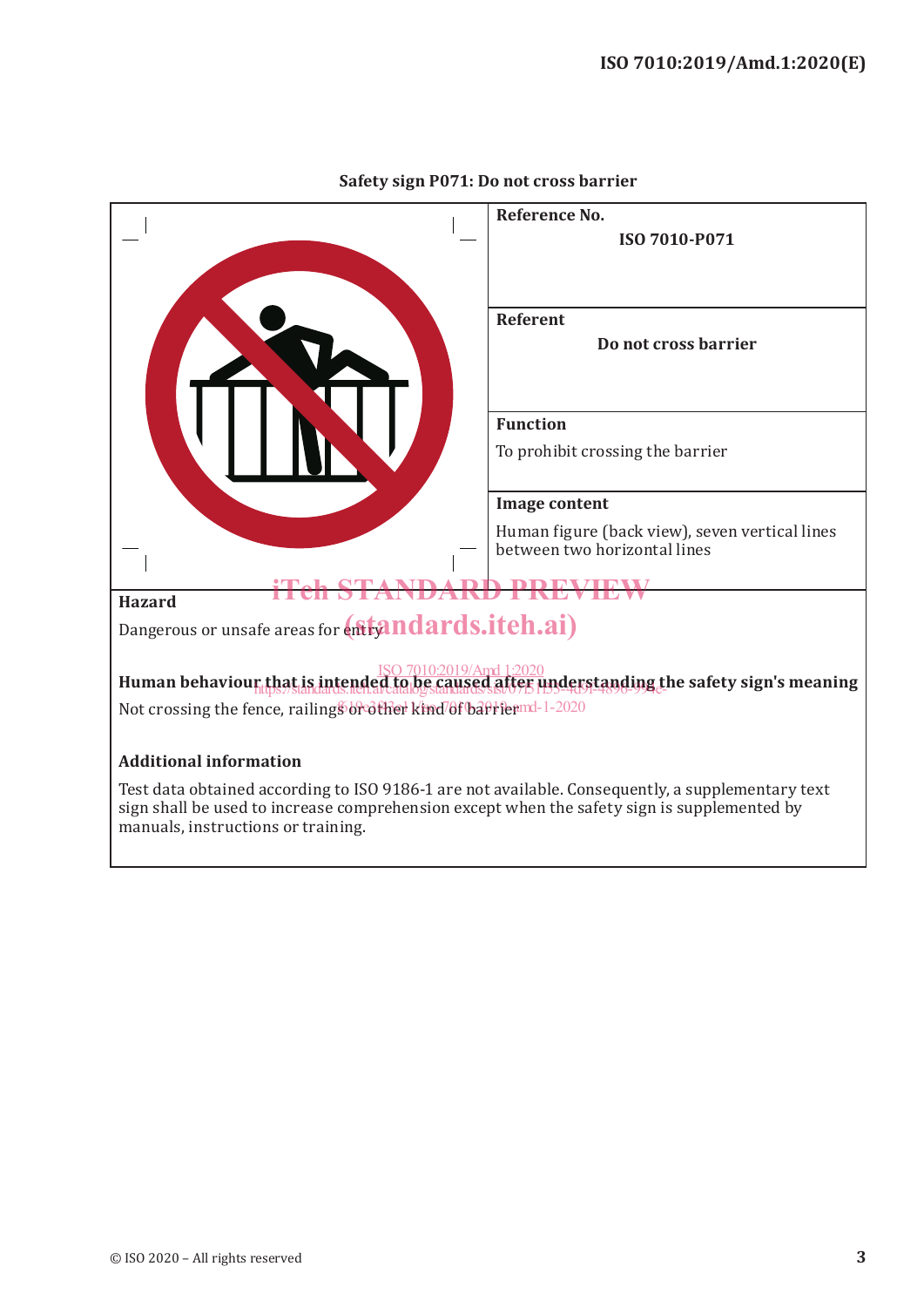|                                                                                                                                                                                                 | Reference No.                                  |  |
|-------------------------------------------------------------------------------------------------------------------------------------------------------------------------------------------------|------------------------------------------------|--|
|                                                                                                                                                                                                 | ISO 7010-P071                                  |  |
|                                                                                                                                                                                                 |                                                |  |
|                                                                                                                                                                                                 |                                                |  |
|                                                                                                                                                                                                 | <b>Referent</b>                                |  |
|                                                                                                                                                                                                 | Do not cross barrier                           |  |
|                                                                                                                                                                                                 |                                                |  |
|                                                                                                                                                                                                 |                                                |  |
|                                                                                                                                                                                                 | <b>Function</b>                                |  |
|                                                                                                                                                                                                 | To prohibit crossing the barrier               |  |
|                                                                                                                                                                                                 |                                                |  |
|                                                                                                                                                                                                 | <b>Image content</b>                           |  |
|                                                                                                                                                                                                 | Human figure (back view), seven vertical lines |  |
|                                                                                                                                                                                                 | between two horizontal lines                   |  |
|                                                                                                                                                                                                 |                                                |  |
| <b>Hazard</b>                                                                                                                                                                                   |                                                |  |
| Dangerous or unsafe areas for entrandards.itch.ai)                                                                                                                                              |                                                |  |
|                                                                                                                                                                                                 |                                                |  |
| <u>ISO 7010:2019/Amd 1:2020</u><br>Human behaviour that is intended to be caused after understanding the safety sign's meaning                                                                  |                                                |  |
| Not crossing the fence, railings or official kind/of barriermd-1-2020                                                                                                                           |                                                |  |
|                                                                                                                                                                                                 |                                                |  |
| <b>Additional information</b>                                                                                                                                                                   |                                                |  |
| Test data obtained according to ISO 9186-1 are not available. Consequently, a supplementary text<br>sign shall be used to increase comprehension except when the safety sign is supplemented by |                                                |  |

#### **Safety sign P071: Do not cross barrier**

manuals, instructions or training.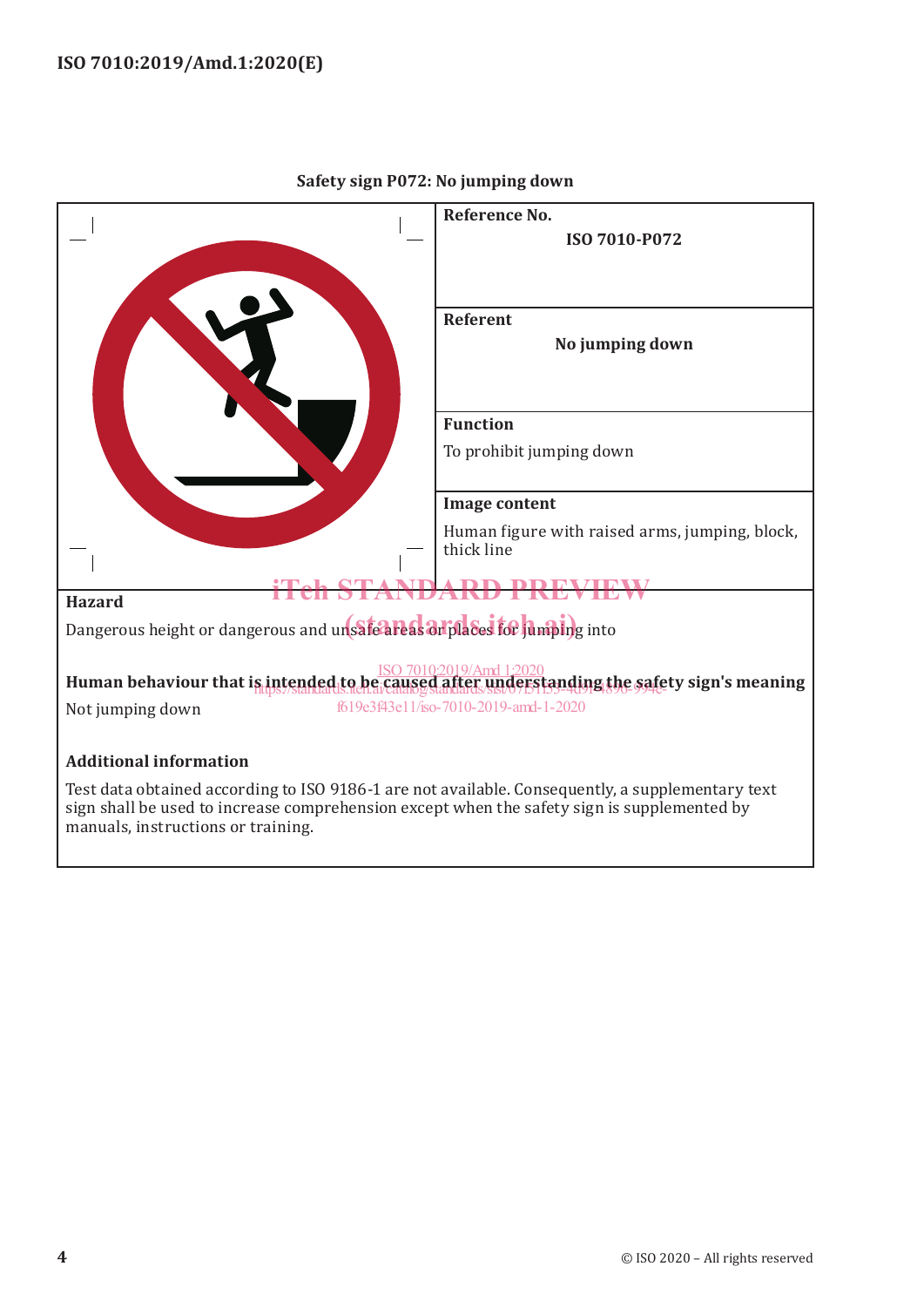|                                                                                                                                                                                                                                       | Reference No.<br>ISO 7010-P072<br><b>Referent</b>            |  |
|---------------------------------------------------------------------------------------------------------------------------------------------------------------------------------------------------------------------------------------|--------------------------------------------------------------|--|
|                                                                                                                                                                                                                                       | No jumping down                                              |  |
|                                                                                                                                                                                                                                       | <b>Function</b>                                              |  |
|                                                                                                                                                                                                                                       | To prohibit jumping down                                     |  |
|                                                                                                                                                                                                                                       | <b>Image content</b>                                         |  |
|                                                                                                                                                                                                                                       | Human figure with raised arms, jumping, block,<br>thick line |  |
|                                                                                                                                                                                                                                       |                                                              |  |
| <b>Hazard</b>                                                                                                                                                                                                                         |                                                              |  |
| Dangerous height or dangerous and unsafe areas on places for jumping into                                                                                                                                                             |                                                              |  |
| <u>ISO 70102019/Amd 12020</u><br>Human behaviour that is intended to be caused after understanding the safety sign's meaning                                                                                                          |                                                              |  |
| f619e3f43e11/iso-7010-2019-amd-1-2020<br>Not jumping down                                                                                                                                                                             |                                                              |  |
| <b>Additional information</b>                                                                                                                                                                                                         |                                                              |  |
| Test data obtained according to ISO 9186-1 are not available. Consequently, a supplementary text<br>sign shall be used to increase comprehension except when the safety sign is supplemented by<br>manuals, instructions or training. |                                                              |  |

#### **Safety sign P072: No jumping down**